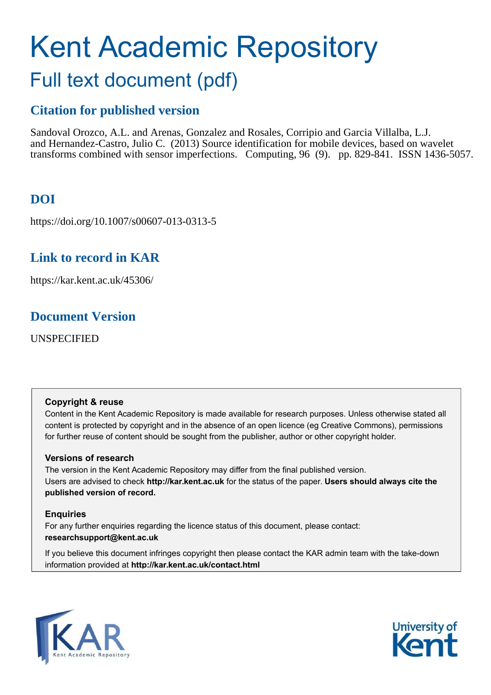# Kent Academic Repository Full text document (pdf)

# **Citation for published version**

Sandoval Orozco, A.L. and Arenas, Gonzalez and Rosales, Corripio and Garcia Villalba, L.J. and Hernandez-Castro, Julio C. (2013) Source identification for mobile devices, based on wavelet transforms combined with sensor imperfections. Computing, 96 (9). pp. 829-841. ISSN 1436-5057.

# **DOI**

https://doi.org/10.1007/s00607-013-0313-5

# **Link to record in KAR**

https://kar.kent.ac.uk/45306/

# **Document Version**

UNSPECIFIED

# **Copyright & reuse**

Content in the Kent Academic Repository is made available for research purposes. Unless otherwise stated all content is protected by copyright and in the absence of an open licence (eg Creative Commons), permissions for further reuse of content should be sought from the publisher, author or other copyright holder.

# **Versions of research**

The version in the Kent Academic Repository may differ from the final published version. Users are advised to check **http://kar.kent.ac.uk** for the status of the paper. **Users should always cite the published version of record.**

# **Enquiries**

For any further enquiries regarding the licence status of this document, please contact: **researchsupport@kent.ac.uk**

If you believe this document infringes copyright then please contact the KAR admin team with the take-down information provided at **http://kar.kent.ac.uk/contact.html**



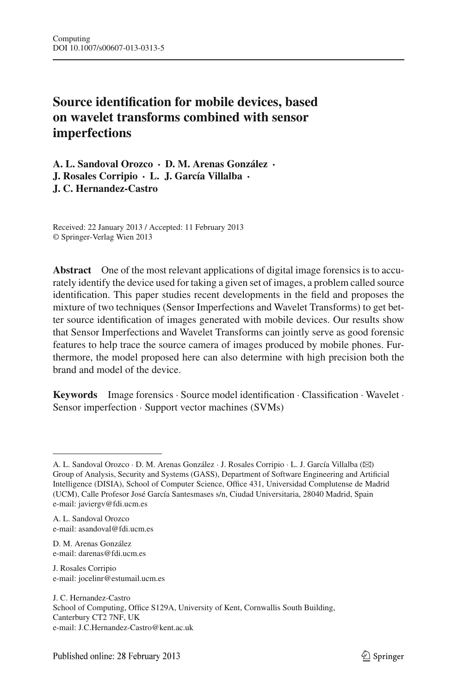# **Source identification for mobile devices, based on wavelet transforms combined with sensor imperfections**

**A. L. Sandoval Orozco** · **D. M. Arenas González** · **J. Rosales Corripio** · **L. J. García Villalba** · **J. C. Hernandez-Castro**

Received: 22 January 2013 / Accepted: 11 February 2013 © Springer-Verlag Wien 2013

**Abstract** One of the most relevant applications of digital image forensics is to accurately identify the device used for taking a given set of images, a problem called source identification. This paper studies recent developments in the field and proposes the mixture of two techniques (Sensor Imperfections and Wavelet Transforms) to get better source identification of images generated with mobile devices. Our results show that Sensor Imperfections and Wavelet Transforms can jointly serve as good forensic features to help trace the source camera of images produced by mobile phones. Furthermore, the model proposed here can also determine with high precision both the brand and model of the device.

**Keywords** Image forensics · Source model identification · Classification · Wavelet · Sensor imperfection · Support vector machines (SVMs)

A. L. Sandoval Orozco e-mail: asandoval@fdi.ucm.es

D. M. Arenas González e-mail: darenas@fdi.ucm.es

J. Rosales Corripio e-mail: jocelinr@estumail.ucm.es

A. L. Sandoval Orozco · D. M. Arenas González · J. Rosales Corripio · L. J. García Villalba (B) Group of Analysis, Security and Systems (GASS), Department of Software Engineering and Artificial Intelligence (DISIA), School of Computer Science, Office 431, Universidad Complutense de Madrid (UCM), Calle Profesor José García Santesmases s/n, Ciudad Universitaria, 28040 Madrid, Spain e-mail: javiergv@fdi.ucm.es

<span id="page-1-0"></span>J. C. Hernandez-Castro School of Computing, Office S129A, University of Kent, Cornwallis South Building, Canterbury CT2 7NF, UK e-mail: J.C.Hernandez-Castro@kent.ac.uk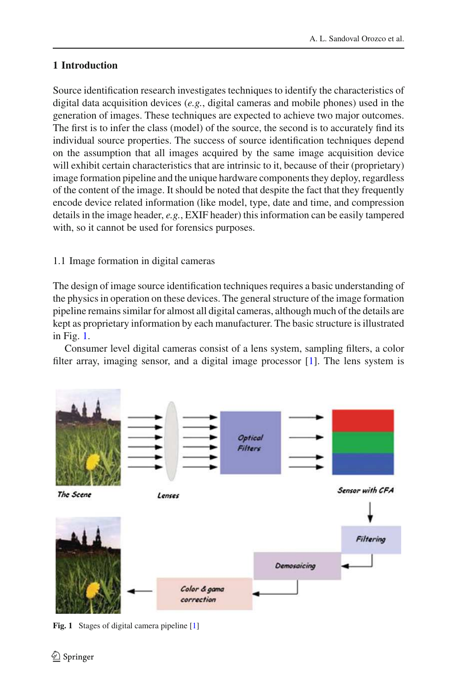# **1 Introduction**

Source identification research investigates techniques to identify the characteristics of digital data acquisition devices (*e.g.*, digital cameras and mobile phones) used in the generation of images. These techniques are expected to achieve two major outcomes. The first is to infer the class (model) of the source, the second is to accurately find its individual source properties. The success of source identification techniques depend on the assumption that all images acquired by the same image acquisition device will exhibit certain characteristics that are intrinsic to it, because of their (proprietary) image formation pipeline and the unique hardware components they deploy, regardless of the content of the image. It should be noted that despite the fact that they frequently encode device related information (like model, type, date and time, and compression details in the image header, *e.g.*, EXIF header) this information can be easily tampered with, so it cannot be used for forensics purposes.

# 1.1 Image formation in digital cameras

The design of image source identification techniques requires a basic understanding of the physics in operation on these devices. The general structure of the image formation pipeline remains similar for almost all digital cameras, although much of the details are kept as proprietary information by each manufacturer. The basic structure is illustrated in Fig. [1.](#page-1-0)

Consumer level digital cameras consist of a lens system, sampling filters, a color filter array, imaging sensor, and a digital image processor [\[1](#page-11-0)]. The lens system is



**Fig. 1** Stages of digital camera pipeline [\[1\]](#page-11-0)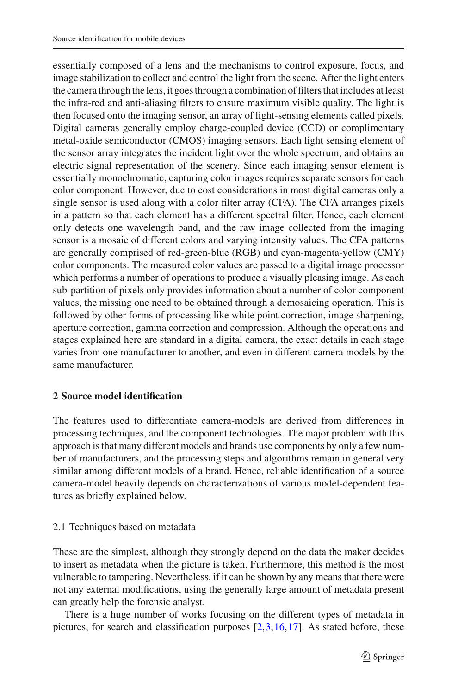essentially composed of a lens and the mechanisms to control exposure, focus, and image stabilization to collect and control the light from the scene. After the light enters the camera through the lens, it goes through a combination of filters that includes at least the infra-red and anti-aliasing filters to ensure maximum visible quality. The light is then focused onto the imaging sensor, an array of light-sensing elements called pixels. Digital cameras generally employ charge-coupled device (CCD) or complimentary metal-oxide semiconductor (CMOS) imaging sensors. Each light sensing element of the sensor array integrates the incident light over the whole spectrum, and obtains an electric signal representation of the scenery. Since each imaging sensor element is essentially monochromatic, capturing color images requires separate sensors for each color component. However, due to cost considerations in most digital cameras only a single sensor is used along with a color filter array (CFA). The CFA arranges pixels in a pattern so that each element has a different spectral filter. Hence, each element only detects one wavelength band, and the raw image collected from the imaging sensor is a mosaic of different colors and varying intensity values. The CFA patterns are generally comprised of red-green-blue (RGB) and cyan-magenta-yellow (CMY) color components. The measured color values are passed to a digital image processor which performs a number of operations to produce a visually pleasing image. As each sub-partition of pixels only provides information about a number of color component values, the missing one need to be obtained through a demosaicing operation. This is followed by other forms of processing like white point correction, image sharpening, aperture correction, gamma correction and compression. Although the operations and stages explained here are standard in a digital camera, the exact details in each stage varies from one manufacturer to another, and even in different camera models by the same manufacturer.

## **2 Source model identification**

The features used to differentiate camera-models are derived from differences in processing techniques, and the component technologies. The major problem with this approach is that many different models and brands use components by only a few number of manufacturers, and the processing steps and algorithms remain in general very similar among different models of a brand. Hence, reliable identification of a source camera-model heavily depends on characterizations of various model-dependent features as briefly explained below.

## 2.1 Techniques based on metadata

These are the simplest, although they strongly depend on the data the maker decides to insert as metadata when the picture is taken. Furthermore, this method is the most vulnerable to tampering. Nevertheless, if it can be shown by any means that there were not any external modifications, using the generally large amount of metadata present can greatly help the forensic analyst.

There is a huge number of works focusing on the different types of metadata in pictures, for search and classification purposes  $[2,3,16,17]$  $[2,3,16,17]$  $[2,3,16,17]$  $[2,3,16,17]$  $[2,3,16,17]$ . As stated before, these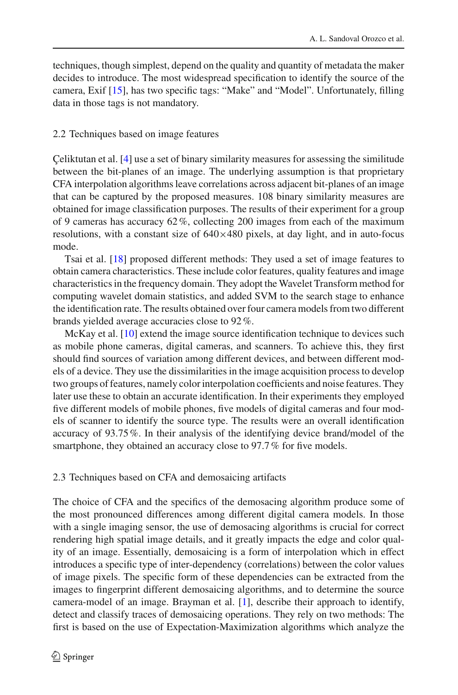techniques, though simplest, depend on the quality and quantity of metadata the maker decides to introduce. The most widespread specification to identify the source of the camera, Exif [\[15](#page-12-3)], has two specific tags: "Make" and "Model". Unfortunately, filling data in those tags is not mandatory.

## 2.2 Techniques based on image features

Çeliktutan et al. [\[4\]](#page-12-4) use a set of binary similarity measures for assessing the similitude between the bit-planes of an image. The underlying assumption is that proprietary CFA interpolation algorithms leave correlations across adjacent bit-planes of an image that can be captured by the proposed measures. 108 binary similarity measures are obtained for image classification purposes. The results of their experiment for a group of 9 cameras has accuracy 62 %, collecting 200 images from each of the maximum resolutions, with a constant size of  $640\times480$  pixels, at day light, and in auto-focus mode.

Tsai et al. [\[18](#page-12-5)] proposed different methods: They used a set of image features to obtain camera characteristics. These include color features, quality features and image characteristics in the frequency domain. They adopt the Wavelet Transform method for computing wavelet domain statistics, and added SVM to the search stage to enhance the identification rate. The results obtained over four camera models from two different brands yielded average accuracies close to 92 %.

McKay et al. [\[10\]](#page-12-6) extend the image source identification technique to devices such as mobile phone cameras, digital cameras, and scanners. To achieve this, they first should find sources of variation among different devices, and between different models of a device. They use the dissimilarities in the image acquisition process to develop two groups of features, namely color interpolation coefficients and noise features. They later use these to obtain an accurate identification. In their experiments they employed five different models of mobile phones, five models of digital cameras and four models of scanner to identify the source type. The results were an overall identification accuracy of 93.75 %. In their analysis of the identifying device brand/model of the smartphone, they obtained an accuracy close to 97.7% for five models.

# 2.3 Techniques based on CFA and demosaicing artifacts

The choice of CFA and the specifics of the demosacing algorithm produce some of the most pronounced differences among different digital camera models. In those with a single imaging sensor, the use of demosacing algorithms is crucial for correct rendering high spatial image details, and it greatly impacts the edge and color quality of an image. Essentially, demosaicing is a form of interpolation which in effect introduces a specific type of inter-dependency (correlations) between the color values of image pixels. The specific form of these dependencies can be extracted from the images to fingerprint different demosaicing algorithms, and to determine the source camera-model of an image. Brayman et al. [\[1](#page-11-0)], describe their approach to identify, detect and classify traces of demosaicing operations. They rely on two methods: The first is based on the use of Expectation-Maximization algorithms which analyze the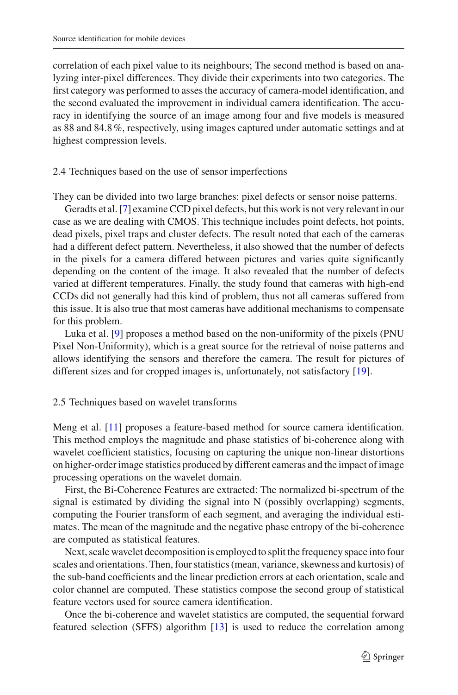correlation of each pixel value to its neighbours; The second method is based on analyzing inter-pixel differences. They divide their experiments into two categories. The first category was performed to asses the accuracy of camera-model identification, and the second evaluated the improvement in individual camera identification. The accuracy in identifying the source of an image among four and five models is measured as 88 and 84.8 %, respectively, using images captured under automatic settings and at highest compression levels.

#### 2.4 Techniques based on the use of sensor imperfections

They can be divided into two large branches: pixel defects or sensor noise patterns.

Geradts et al. [\[7\]](#page-12-7) examine CCD pixel defects, but this work is not very relevant in our case as we are dealing with CMOS. This technique includes point defects, hot points, dead pixels, pixel traps and cluster defects. The result noted that each of the cameras had a different defect pattern. Nevertheless, it also showed that the number of defects in the pixels for a camera differed between pictures and varies quite significantly depending on the content of the image. It also revealed that the number of defects varied at different temperatures. Finally, the study found that cameras with high-end CCDs did not generally had this kind of problem, thus not all cameras suffered from this issue. It is also true that most cameras have additional mechanisms to compensate for this problem.

Luka et al. [\[9](#page-12-8)] proposes a method based on the non-uniformity of the pixels (PNU Pixel Non-Uniformity), which is a great source for the retrieval of noise patterns and allows identifying the sensors and therefore the camera. The result for pictures of different sizes and for cropped images is, unfortunately, not satisfactory [\[19\]](#page-12-9).

#### 2.5 Techniques based on wavelet transforms

Meng et al. [\[11\]](#page-12-10) proposes a feature-based method for source camera identification. This method employs the magnitude and phase statistics of bi-coherence along with wavelet coefficient statistics, focusing on capturing the unique non-linear distortions on higher-order image statistics produced by different cameras and the impact of image processing operations on the wavelet domain.

First, the Bi-Coherence Features are extracted: The normalized bi-spectrum of the signal is estimated by dividing the signal into N (possibly overlapping) segments, computing the Fourier transform of each segment, and averaging the individual estimates. The mean of the magnitude and the negative phase entropy of the bi-coherence are computed as statistical features.

Next, scale wavelet decomposition is employed to split the frequency space into four scales and orientations. Then, four statistics (mean, variance, skewness and kurtosis) of the sub-band coefficients and the linear prediction errors at each orientation, scale and color channel are computed. These statistics compose the second group of statistical feature vectors used for source camera identification.

Once the bi-coherence and wavelet statistics are computed, the sequential forward featured selection (SFFS) algorithm [\[13](#page-12-11)] is used to reduce the correlation among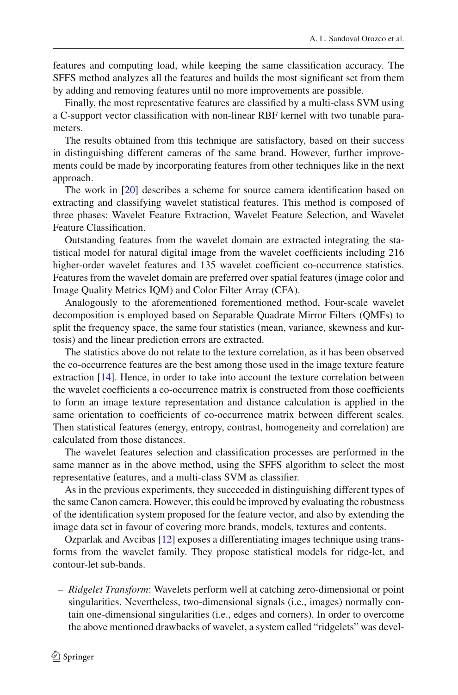features and computing load, while keeping the same classification accuracy. The SFFS method analyzes all the features and builds the most significant set from them by adding and removing features until no more improvements are possible.

Finally, the most representative features are classified by a multi-class SVM using a C-support vector classification with non-linear RBF kernel with two tunable parameters.

The results obtained from this technique are satisfactory, based on their success in distinguishing different cameras of the same brand. However, further improvements could be made by incorporating features from other techniques like in the next approach.

The work in [\[20\]](#page-12-12) describes a scheme for source camera identification based on extracting and classifying wavelet statistical features. This method is composed of three phases: Wavelet Feature Extraction, Wavelet Feature Selection, and Wavelet Feature Classification.

<span id="page-6-0"></span>Outstanding features from the wavelet domain are extracted integrating the statistical model for natural digital image from the wavelet coefficients including 216 higher-order wavelet features and 135 wavelet coefficient co-occurrence statistics. Features from the wavelet domain are preferred over spatial features (image color and Image Quality Metrics IQM) and Color Filter Array (CFA).

Analogously to the aforementioned forementioned method, Four-scale wavelet decomposition is employed based on Separable Quadrate Mirror Filters (QMFs) to split the frequency space, the same four statistics (mean, variance, skewness and kurtosis) and the linear prediction errors are extracted.

The statistics above do not relate to the texture correlation, as it has been observed the co-occurrence features are the best among those used in the image texture feature extraction [\[14\]](#page-12-13). Hence, in order to take into account the texture correlation between the wavelet coefficients a co-occurrence matrix is constructed from those coefficients to form an image texture representation and distance calculation is applied in the same orientation to coefficients of co-occurrence matrix between different scales. Then statistical features (energy, entropy, contrast, homogeneity and correlation) are calculated from those distances.

The wavelet features selection and classification processes are performed in the same manner as in the above method, using the SFFS algorithm to select the most representative features, and a multi-class SVM as classifier.

As in the previous experiments, they succeeded in distinguishing different types of the same Canon camera. However, this could be improved by evaluating the robustness of the identification system proposed for the feature vector, and also by extending the image data set in favour of covering more brands, models, textures and contents.

Ozparlak and Avcibas [\[12](#page-12-14)] exposes a differentiating images technique using transforms from the wavelet family. They propose statistical models for ridge-let, and contour-let sub-bands.

– *Ridgelet Transform*: Wavelets perform well at catching zero-dimensional or point singularities. Nevertheless, two-dimensional signals (i.e., images) normally contain one-dimensional singularities (i.e., edges and corners). In order to overcome the above mentioned drawbacks of wavelet, a system called "ridgelets" was devel-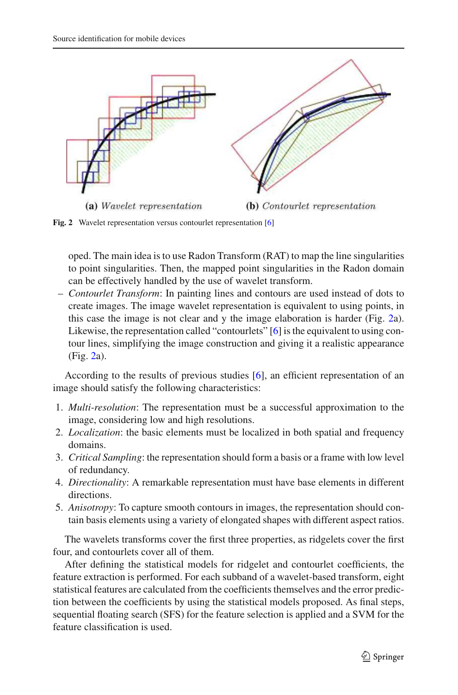

**Fig. 2** Wavelet representation versus contourlet representation [\[6\]](#page-12-15)

oped. The main idea is to use Radon Transform (RAT) to map the line singularities to point singularities. Then, the mapped point singularities in the Radon domain can be effectively handled by the use of wavelet transform.

– *Contourlet Transform*: In painting lines and contours are used instead of dots to create images. The image wavelet representation is equivalent to using points, in this case the image is not clear and y the image elaboration is harder (Fig. [2a](#page-6-0)). Likewise, the representation called "contourlets" [\[6](#page-12-15)] is the equivalent to using contour lines, simplifying the image construction and giving it a realistic appearance (Fig. [2a](#page-6-0)).

According to the results of previous studies [\[6\]](#page-12-15), an efficient representation of an image should satisfy the following characteristics:

- 1. *Multi-resolution*: The representation must be a successful approximation to the image, considering low and high resolutions.
- 2. *Localization*: the basic elements must be localized in both spatial and frequency domains.
- 3. *Critical Sampling*: the representation should form a basis or a frame with low level of redundancy.
- 4. *Directionality*: A remarkable representation must have base elements in different directions.
- 5. *Anisotropy*: To capture smooth contours in images, the representation should contain basis elements using a variety of elongated shapes with different aspect ratios.

The wavelets transforms cover the first three properties, as ridgelets cover the first four, and contourlets cover all of them.

After defining the statistical models for ridgelet and contourlet coefficients, the feature extraction is performed. For each subband of a wavelet-based transform, eight statistical features are calculated from the coefficients themselves and the error prediction between the coefficients by using the statistical models proposed. As final steps, sequential floating search (SFS) for the feature selection is applied and a SVM for the feature classification is used.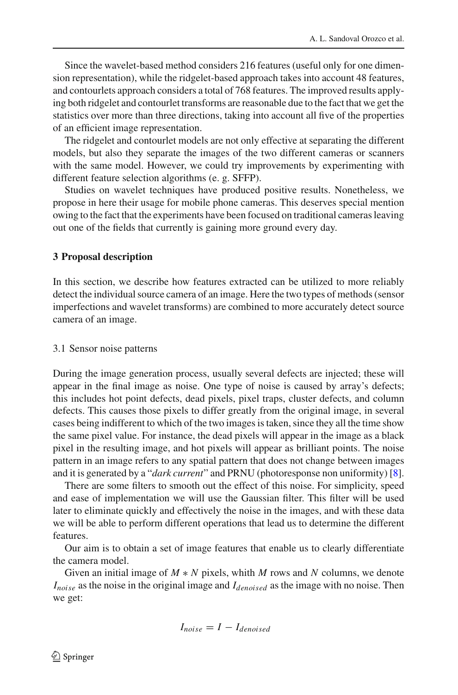Since the wavelet-based method considers 216 features (useful only for one dimension representation), while the ridgelet-based approach takes into account 48 features, and contourlets approach considers a total of 768 features. The improved results applying both ridgelet and contourlet transforms are reasonable due to the fact that we get the statistics over more than three directions, taking into account all five of the properties of an efficient image representation.

The ridgelet and contourlet models are not only effective at separating the different models, but also they separate the images of the two different cameras or scanners with the same model. However, we could try improvements by experimenting with different feature selection algorithms (e. g. SFFP).

Studies on wavelet techniques have produced positive results. Nonetheless, we propose in here their usage for mobile phone cameras. This deserves special mention owing to the fact that the experiments have been focused on traditional cameras leaving out one of the fields that currently is gaining more ground every day.

## **3 Proposal description**

In this section, we describe how features extracted can be utilized to more reliably detect the individual source camera of an image. Here the two types of methods (sensor imperfections and wavelet transforms) are combined to more accurately detect source camera of an image.

#### 3.1 Sensor noise patterns

During the image generation process, usually several defects are injected; these will appear in the final image as noise. One type of noise is caused by array's defects; this includes hot point defects, dead pixels, pixel traps, cluster defects, and column defects. This causes those pixels to differ greatly from the original image, in several cases being indifferent to which of the two images is taken, since they all the time show the same pixel value. For instance, the dead pixels will appear in the image as a black pixel in the resulting image, and hot pixels will appear as brilliant points. The noise pattern in an image refers to any spatial pattern that does not change between images and it is generated by a "*dark current*" and PRNU (photoresponse non uniformity) [\[8](#page-12-16)].

There are some filters to smooth out the effect of this noise. For simplicity, speed and ease of implementation we will use the Gaussian filter. This filter will be used later to eliminate quickly and effectively the noise in the images, and with these data we will be able to perform different operations that lead us to determine the different features.

Our aim is to obtain a set of image features that enable us to clearly differentiate the camera model.

Given an initial image of *M* ∗ *N* pixels, whith *M* rows and *N* columns, we denote *Inoise* as the noise in the original image and *Idenoised* as the image with no noise. Then we get:

$$
I_{noise} = I - I_{denoised}
$$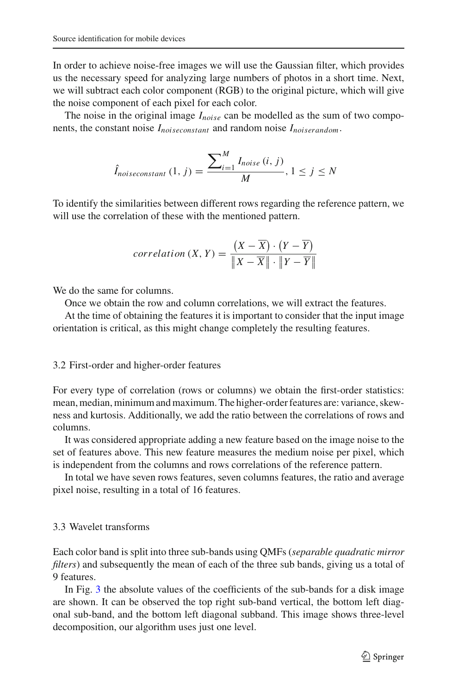In order to achieve noise-free images we will use the Gaussian filter, which provides us the necessary speed for analyzing large numbers of photos in a short time. Next, we will subtract each color component (RGB) to the original picture, which will give the noise component of each pixel for each color.

The noise in the original image *Inoise* can be modelled as the sum of two components, the constant noise *Inoiseconstant* and random noise *Inoiserandom*.

$$
\hat{I}_{noiseconstant}\left(1,j\right) = \frac{\sum_{i=1}^{M} I_{noise}\left(i,j\right)}{M}, 1 \le j \le N
$$

To identify the similarities between different rows regarding the reference pattern, we will use the correlation of these with the mentioned pattern.

$$
correlation(X, Y) = \frac{(X - \overline{X}) \cdot (Y - \overline{Y})}{\|X - \overline{X}\| \cdot \|Y - \overline{Y}\|}
$$

We do the same for columns.

Once we obtain the row and column correlations, we will extract the features.

At the time of obtaining the features it is important to consider that the input image orientation is critical, as this might change completely the resulting features.

## <span id="page-9-0"></span>3.2 First-order and higher-order features

For every type of correlation (rows or columns) we obtain the first-order statistics: mean, median, minimum and maximum. The higher-order features are: variance, skewness and kurtosis. Additionally, we add the ratio between the correlations of rows and columns.

It was considered appropriate adding a new feature based on the image noise to the set of features above. This new feature measures the medium noise per pixel, which is independent from the columns and rows correlations of the reference pattern.

In total we have seven rows features, seven columns features, the ratio and average pixel noise, resulting in a total of 16 features.

## 3.3 Wavelet transforms

Each color band is split into three sub-bands using QMFs (*separable quadratic mirror filters*) and subsequently the mean of each of the three sub bands, giving us a total of 9 features.

In Fig. [3](#page-9-0) the absolute values of the coefficients of the sub-bands for a disk image are shown. It can be observed the top right sub-band vertical, the bottom left diagonal sub-band, and the bottom left diagonal subband. This image shows three-level decomposition, our algorithm uses just one level.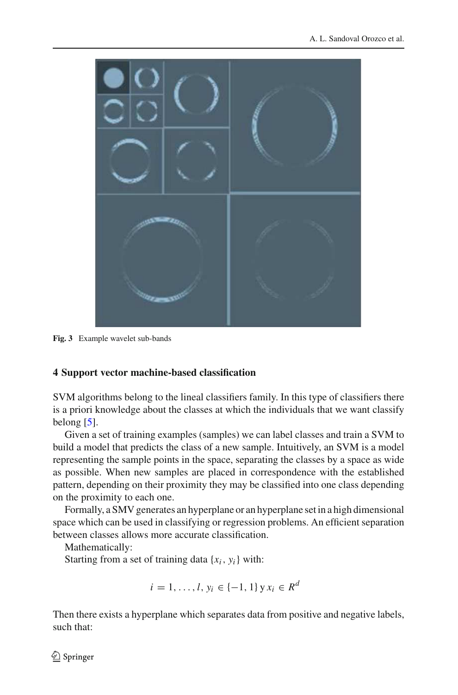

**Fig. 3** Example wavelet sub-bands

## **4 Support vector machine-based classification**

SVM algorithms belong to the lineal classifiers family. In this type of classifiers there is a priori knowledge about the classes at which the individuals that we want classify belong [\[5\]](#page-12-17).

Given a set of training examples (samples) we can label classes and train a SVM to build a model that predicts the class of a new sample. Intuitively, an SVM is a model representing the sample points in the space, separating the classes by a space as wide as possible. When new samples are placed in correspondence with the established pattern, depending on their proximity they may be classified into one class depending on the proximity to each one.

Formally, a SMV generates an hyperplane or an hyperplane set in a high dimensional space which can be used in classifying or regression problems. An efficient separation between classes allows more accurate classification.

Mathematically:

Starting from a set of training data  $\{x_i, y_i\}$  with:

 $i = 1, \ldots, l, y_i \in \{-1, 1\}$   $y x_i \in R^d$ 

Then there exists a hyperplane which separates data from positive and negative labels, such that: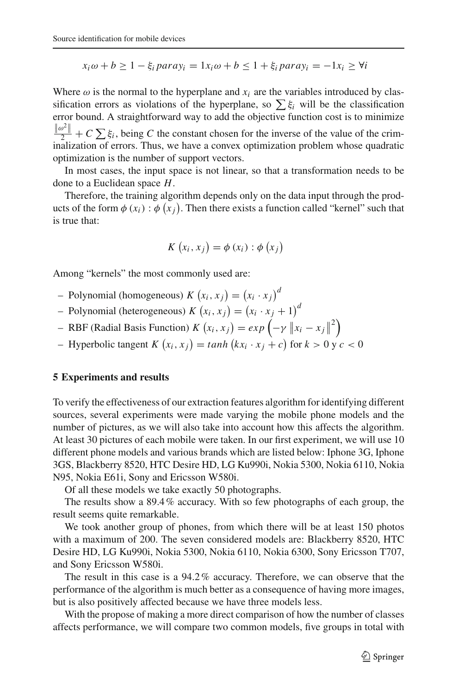$$
x_i\omega + b \ge 1 - \xi_i \text{ paray}_i = 1x_i\omega + b \le 1 + \xi_i \text{ paray}_i = -1x_i \ge \forall i
$$

<span id="page-11-2"></span>Where  $\omega$  is the normal to the hyperplane and  $x_i$  are the variables introduced by classification errors as violations of the hyperplane, so  $\sum_i \xi_i$  will be the classification error bound. A straightforward way to add the objective function cost is to minimize  $\frac{||\omega^2||}{2} + C \sum_{i} \xi_i$ , being *C* the constant chosen for the inverse of the value of the criminalization of errors. Thus, we have a convex optimization problem whose quadratic optimization is the number of support vectors.

In most cases, the input space is not linear, so that a transformation needs to be done to a Euclidean space *H*.

Therefore, the training algorithm depends only on the data input through the products of the form  $\phi(x_i) : \phi(x_j)$ . Then there exists a function called "kernel" such that is true that:

$$
K(x_i, x_j) = \phi(x_i) : \phi(x_j)
$$

Among "kernels" the most commonly used are:

- $X(x_i, x_j) = (x_i \cdot x_j)^d$
- $X(x_i, x_j) = (x_i \cdot x_j + 1)^d$
- $-$  RBF (Radial Basis Function)  $K(x_i, x_j) = exp(-\gamma ||x_i x_j||)$  $^{2}$
- $-$  Hyperbolic tangent  $K(x_i, x_j) = \tanh (kx_i \cdot x_j + c)$  for  $k > 0$  y  $c < 0$

#### **5 Experiments and results**

To verify the effectiveness of our extraction features algorithm for identifying different sources, several experiments were made varying the mobile phone models and the number of pictures, as we will also take into account how this affects the algorithm. At least 30 pictures of each mobile were taken. In our first experiment, we will use 10 different phone models and various brands which are listed below: Iphone 3G, Iphone 3GS, Blackberry 8520, HTC Desire HD, LG Ku990i, Nokia 5300, Nokia 6110, Nokia N95, Nokia E61i, Sony and Ericsson W580i.

Of all these models we take exactly 50 photographs.

The results show a 89.4 % accuracy. With so few photographs of each group, the result seems quite remarkable.

We took another group of phones, from which there will be at least 150 photos with a maximum of 200. The seven considered models are: Blackberry 8520, HTC Desire HD, LG Ku990i, Nokia 5300, Nokia 6110, Nokia 6300, Sony Ericsson T707, and Sony Ericsson W580i.

<span id="page-11-0"></span>The result in this case is a 94.2 % accuracy. Therefore, we can observe that the performance of the algorithm is much better as a consequence of having more images, but is also positively affected because we have three models less.

<span id="page-11-1"></span>With the propose of making a more direct comparison of how the number of classes affects performance, we will compare two common models, five groups in total with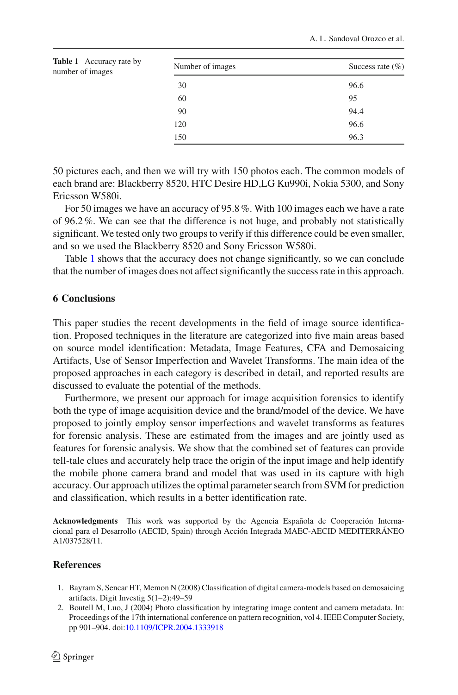<span id="page-12-17"></span><span id="page-12-4"></span><span id="page-12-0"></span>

| <b>Table 1</b> Accuracy rate by<br>number of images | Number of images | Success rate $(\% )$ |
|-----------------------------------------------------|------------------|----------------------|
|                                                     | 30               | 96.6                 |
|                                                     | 60               | 95                   |
|                                                     | 90               | 94.4                 |
|                                                     | 120              | 96.6                 |
|                                                     | 150              | 96.3                 |

<span id="page-12-16"></span><span id="page-12-15"></span><span id="page-12-7"></span>50 pictures each, and then we will try with 150 photos each. The common models of each brand are: Blackberry 8520, HTC Desire HD,LG Ku990i, Nokia 5300, and Sony Ericsson W580i.

<span id="page-12-8"></span><span id="page-12-6"></span>For 50 images we have an accuracy of 95.8 %. With 100 images each we have a rate of 96.2 %. We can see that the difference is not huge, and probably not statistically significant. We tested only two groups to verify if this difference could be even smaller, and so we used the Blackberry 8520 and Sony Ericsson W580i.

<span id="page-12-10"></span>Table [1](#page-11-2) shows that the accuracy does not change significantly, so we can conclude that the number of images does not affect significantly the success rate in this approach.

#### <span id="page-12-14"></span><span id="page-12-11"></span>**6 Conclusions**

<span id="page-12-13"></span><span id="page-12-3"></span>This paper studies the recent developments in the field of image source identification. Proposed techniques in the literature are categorized into five main areas based on source model identification: Metadata, Image Features, CFA and Demosaicing Artifacts, Use of Sensor Imperfection and Wavelet Transforms. The main idea of the proposed approaches in each category is described in detail, and reported results are discussed to evaluate the potential of the methods.

<span id="page-12-9"></span><span id="page-12-5"></span><span id="page-12-2"></span><span id="page-12-1"></span>Furthermore, we present our approach for image acquisition forensics to identify both the type of image acquisition device and the brand/model of the device. We have proposed to jointly employ sensor imperfections and wavelet transforms as features for forensic analysis. These are estimated from the images and are jointly used as features for forensic analysis. We show that the combined set of features can provide tell-tale clues and accurately help trace the origin of the input image and help identify the mobile phone camera brand and model that was used in its capture with high accuracy. Our approach utilizes the optimal parameter search from SVM for prediction and classification, which results in a better identification rate.

<span id="page-12-12"></span>**Acknowledgments** This work was supported by the Agencia Española de Cooperación Internacional para el Desarrollo (AECID, Spain) through Acción Integrada MAEC-AECID MEDITERRÁNEO A1/037528/11.

## **References**

- 1. Bayram S, Sencar HT, Memon N (2008) Classification of digital camera-models based on demosaicing artifacts. Digit Investig 5(1–2):49–59
- 2. Boutell M, Luo, J (2004) Photo classification by integrating image content and camera metadata. In: Proceedings of the 17th international conference on pattern recognition, vol 4. IEEE Computer Society, pp 901–904. doi[:10.1109/ICPR.2004.1333918](http://dx.doi.org/10.1109/ICPR.2004.1333918)